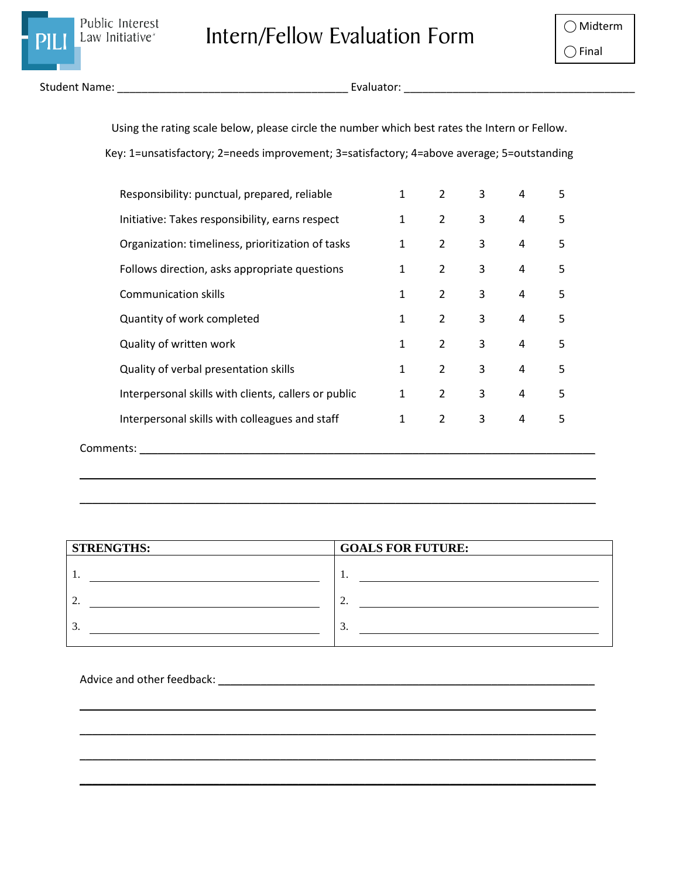

Student Name: \_\_\_\_\_\_\_\_\_\_\_\_\_\_\_\_\_\_\_\_\_\_\_\_\_\_\_\_\_\_\_\_\_\_\_\_\_\_ Evaluator: \_\_\_\_\_\_\_\_\_\_\_\_\_\_\_\_\_\_\_\_\_\_\_\_\_\_\_\_\_\_\_\_\_\_\_\_\_\_

Using the rating scale below, please circle the number which best rates the Intern or Fellow.

Key: 1=unsatisfactory; 2=needs improvement; 3=satisfactory; 4=above average; 5=outstanding

| Responsibility: punctual, prepared, reliable         | 1            | $\mathfrak{D}$ | 3 | 4 | 5 |
|------------------------------------------------------|--------------|----------------|---|---|---|
| Initiative: Takes responsibility, earns respect      | $\mathbf{1}$ | $\overline{2}$ | 3 | 4 | 5 |
| Organization: timeliness, prioritization of tasks    | $\mathbf{1}$ | $\overline{2}$ | 3 | 4 | 5 |
| Follows direction, asks appropriate questions        | $\mathbf{1}$ | $\overline{2}$ | 3 | 4 | 5 |
| <b>Communication skills</b>                          | 1            | $\overline{2}$ | 3 | 4 | 5 |
| Quantity of work completed                           | 1            | $\overline{2}$ | 3 | 4 | 5 |
| Quality of written work                              | 1            | $\overline{2}$ | 3 | 4 | 5 |
| Quality of verbal presentation skills                | 1            | $\overline{2}$ | 3 | 4 | 5 |
| Interpersonal skills with clients, callers or public | 1            | $\overline{2}$ | 3 | 4 | 5 |
| Interpersonal skills with colleagues and staff       | $\mathbf{1}$ | $\overline{2}$ | 3 | 4 | 5 |
| Comments:                                            |              |                |   |   |   |

| <b>STRENGTHS:</b>        | <b>GOALS FOR FUTURE:</b> |
|--------------------------|--------------------------|
|                          |                          |
| .,                       | . .                      |
| $\overline{\phantom{a}}$ | <u>.</u>                 |
|                          |                          |
| . ب                      | ◡                        |

\_\_\_\_\_\_\_\_\_\_\_\_\_\_\_\_\_\_\_\_\_\_\_\_\_\_\_\_\_\_\_\_\_\_\_\_\_\_\_\_\_\_\_\_\_\_\_\_\_\_\_\_\_\_\_\_\_\_\_\_\_\_\_\_\_\_\_\_\_\_\_\_\_\_\_\_\_\_\_\_\_\_\_\_\_

\_\_\_\_\_\_\_\_\_\_\_\_\_\_\_\_\_\_\_\_\_\_\_\_\_\_\_\_\_\_\_\_\_\_\_\_\_\_\_\_\_\_\_\_\_\_\_\_\_\_\_\_\_\_\_\_\_\_\_\_\_\_\_\_\_\_\_\_\_\_\_\_\_\_\_\_\_\_\_\_\_\_\_\_\_

\_\_\_\_\_\_\_\_\_\_\_\_\_\_\_\_\_\_\_\_\_\_\_\_\_\_\_\_\_\_\_\_\_\_\_\_\_\_\_\_\_\_\_\_\_\_\_\_\_\_\_\_\_\_\_\_\_\_\_\_\_\_\_\_\_\_\_\_\_\_\_\_\_\_\_\_\_\_\_\_\_\_\_\_\_

\_\_\_\_\_\_\_\_\_\_\_\_\_\_\_\_\_\_\_\_\_\_\_\_\_\_\_\_\_\_\_\_\_\_\_\_\_\_\_\_\_\_\_\_\_\_\_\_\_\_\_\_\_\_\_\_\_\_\_\_\_\_\_\_\_\_\_\_\_\_\_\_\_\_\_\_\_\_\_\_\_\_\_\_\_

\_\_\_\_\_\_\_\_\_\_\_\_\_\_\_\_\_\_\_\_\_\_\_\_\_\_\_\_\_\_\_\_\_\_\_\_\_\_\_\_\_\_\_\_\_\_\_\_\_\_\_\_\_\_\_\_\_\_\_\_\_\_\_\_\_\_\_\_\_\_\_\_\_\_\_\_\_\_\_\_\_\_\_\_\_

\_\_\_\_\_\_\_\_\_\_\_\_\_\_\_\_\_\_\_\_\_\_\_\_\_\_\_\_\_\_\_\_\_\_\_\_\_\_\_\_\_\_\_\_\_\_\_\_\_\_\_\_\_\_\_\_\_\_\_\_\_\_\_\_\_\_\_\_\_\_\_\_\_\_\_\_\_\_\_\_\_\_\_\_\_

Advice and other feedback: \_\_\_\_\_\_\_\_\_\_\_\_\_\_\_\_\_\_\_\_\_\_\_\_\_\_\_\_\_\_\_\_\_\_\_\_\_\_\_\_\_\_\_\_\_\_\_\_\_\_\_\_\_\_\_\_\_\_\_\_\_\_